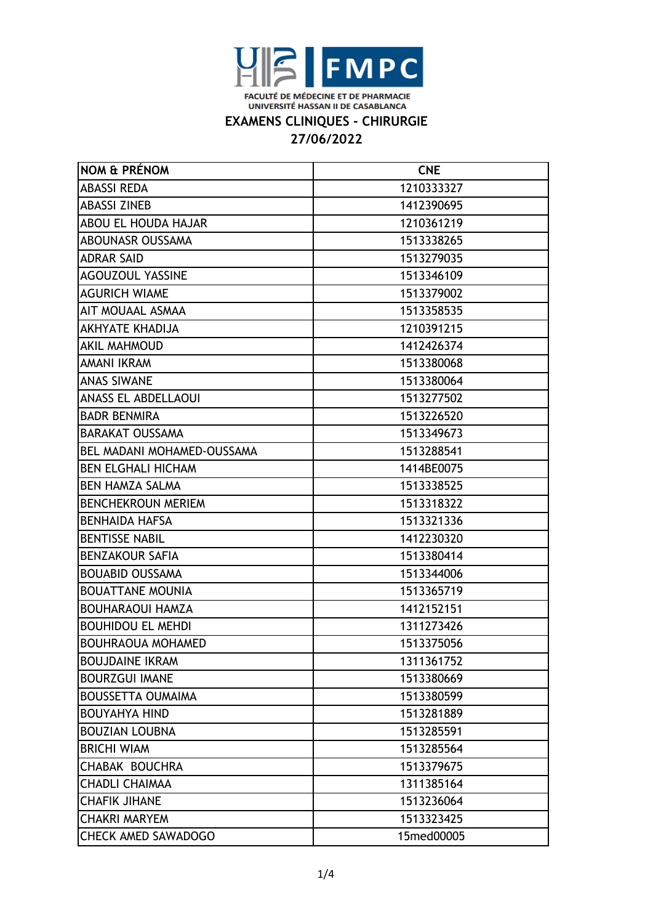

### **EXAMENS CLINIQUES - CHIRURGIE**

| NOM & PRÉNOM               | <b>CNE</b> |
|----------------------------|------------|
| <b>ABASSI REDA</b>         | 1210333327 |
| <b>ABASSI ZINEB</b>        | 1412390695 |
| <b>ABOU EL HOUDA HAJAR</b> | 1210361219 |
| ABOUNASR OUSSAMA           | 1513338265 |
| <b>ADRAR SAID</b>          | 1513279035 |
| <b>AGOUZOUL YASSINE</b>    | 1513346109 |
| <b>AGURICH WIAME</b>       | 1513379002 |
| AIT MOUAAL ASMAA           | 1513358535 |
| <b>AKHYATE KHADIJA</b>     | 1210391215 |
| <b>AKIL MAHMOUD</b>        | 1412426374 |
| AMANI IKRAM                | 1513380068 |
| <b>ANAS SIWANE</b>         | 1513380064 |
| <b>ANASS EL ABDELLAOUI</b> | 1513277502 |
| <b>BADR BENMIRA</b>        | 1513226520 |
| <b>BARAKAT OUSSAMA</b>     | 1513349673 |
| BEL MADANI MOHAMED-OUSSAMA | 1513288541 |
| <b>BEN ELGHALI HICHAM</b>  | 1414BE0075 |
| BEN HAMZA SALMA            | 1513338525 |
| <b>BENCHEKROUN MERIEM</b>  | 1513318322 |
| <b>BENHAIDA HAFSA</b>      | 1513321336 |
| <b>BENTISSE NABIL</b>      | 1412230320 |
| <b>BENZAKOUR SAFIA</b>     | 1513380414 |
| <b>BOUABID OUSSAMA</b>     | 1513344006 |
| <b>BOUATTANE MOUNIA</b>    | 1513365719 |
| <b>BOUHARAOUI HAMZA</b>    | 1412152151 |
| <b>BOUHIDOU EL MEHDI</b>   | 1311273426 |
| <b>BOUHRAOUA MOHAMED</b>   | 1513375056 |
| <b>BOUJDAINE IKRAM</b>     | 1311361752 |
| <b>BOURZGUI IMANE</b>      | 1513380669 |
| <b>BOUSSETTA OUMAIMA</b>   | 1513380599 |
| <b>BOUYAHYA HIND</b>       | 1513281889 |
| <b>BOUZIAN LOUBNA</b>      | 1513285591 |
| <b>BRICHI WIAM</b>         | 1513285564 |
| CHABAK BOUCHRA             | 1513379675 |
| <b>CHADLI CHAIMAA</b>      | 1311385164 |
| <b>CHAFIK JIHANE</b>       | 1513236064 |
| <b>CHAKRI MARYEM</b>       | 1513323425 |
| <b>CHECK AMED SAWADOGO</b> | 15med00005 |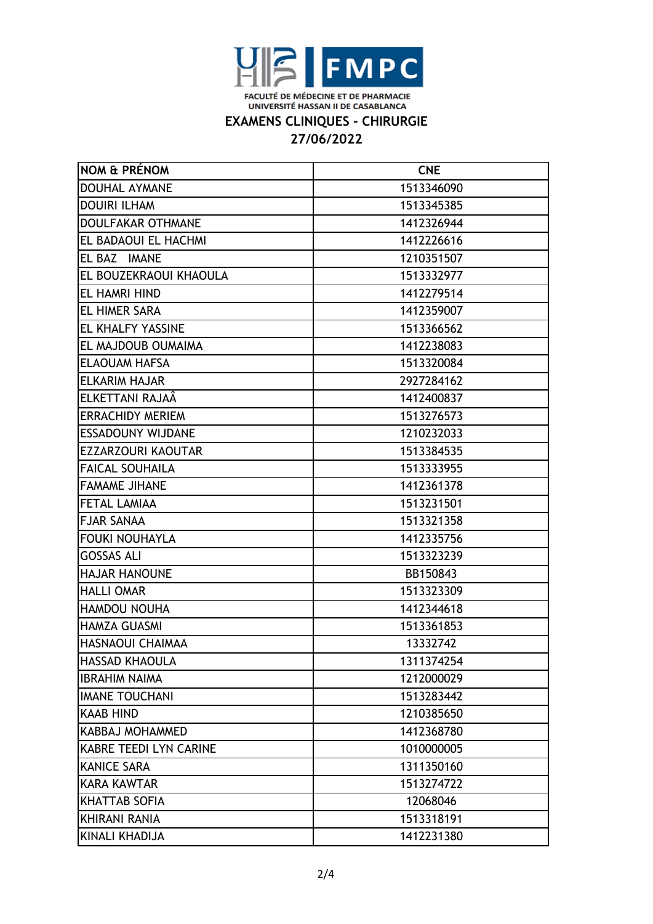

### **EXAMENS CLINIQUES - CHIRURGIE**

| <b>NOM &amp; PRÉNOM</b>       | <b>CNE</b> |
|-------------------------------|------------|
| <b>DOUHAL AYMANE</b>          | 1513346090 |
| <b>DOUIRI ILHAM</b>           | 1513345385 |
| <b>DOULFAKAR OTHMANE</b>      | 1412326944 |
| EL BADAOUI EL HACHMI          | 1412226616 |
| EL BAZ IMANE                  | 1210351507 |
| EL BOUZEKRAOUI KHAOULA        | 1513332977 |
| <b>EL HAMRI HIND</b>          | 1412279514 |
| <b>EL HIMER SARA</b>          | 1412359007 |
| EL KHALFY YASSINE             | 1513366562 |
| EL MAJDOUB OUMAIMA            | 1412238083 |
| <b>ELAOUAM HAFSA</b>          | 1513320084 |
| <b>ELKARIM HAJAR</b>          | 2927284162 |
| ELKETTANI RAJAÂ               | 1412400837 |
| <b>ERRACHIDY MERIEM</b>       | 1513276573 |
| <b>ESSADOUNY WIJDANE</b>      | 1210232033 |
| EZZARZOURI KAOUTAR            | 1513384535 |
| <b>FAICAL SOUHAILA</b>        | 1513333955 |
| <b>FAMAME JIHANE</b>          | 1412361378 |
| <b>FETAL LAMIAA</b>           | 1513231501 |
| <b>FJAR SANAA</b>             | 1513321358 |
| <b>FOUKI NOUHAYLA</b>         | 1412335756 |
| <b>GOSSAS ALI</b>             | 1513323239 |
| <b>HAJAR HANOUNE</b>          | BB150843   |
| <b>HALLI OMAR</b>             | 1513323309 |
| HAMDOU NOUHA                  | 1412344618 |
| <b>HAMZA GUASMI</b>           | 1513361853 |
| HASNAOUI CHAIMAA              | 13332742   |
| <b>HASSAD KHAOULA</b>         | 1311374254 |
| <b>IBRAHIM NAIMA</b>          | 1212000029 |
| <b>IMANE TOUCHANI</b>         | 1513283442 |
| <b>KAAB HIND</b>              | 1210385650 |
| KABBAJ MOHAMMED               | 1412368780 |
| <b>KABRE TEEDI LYN CARINE</b> | 1010000005 |
| <b>KANICE SARA</b>            | 1311350160 |
| <b>KARA KAWTAR</b>            | 1513274722 |
| <b>KHATTAB SOFIA</b>          | 12068046   |
| <b>KHIRANI RANIA</b>          | 1513318191 |
| <b>KINALI KHADIJA</b>         | 1412231380 |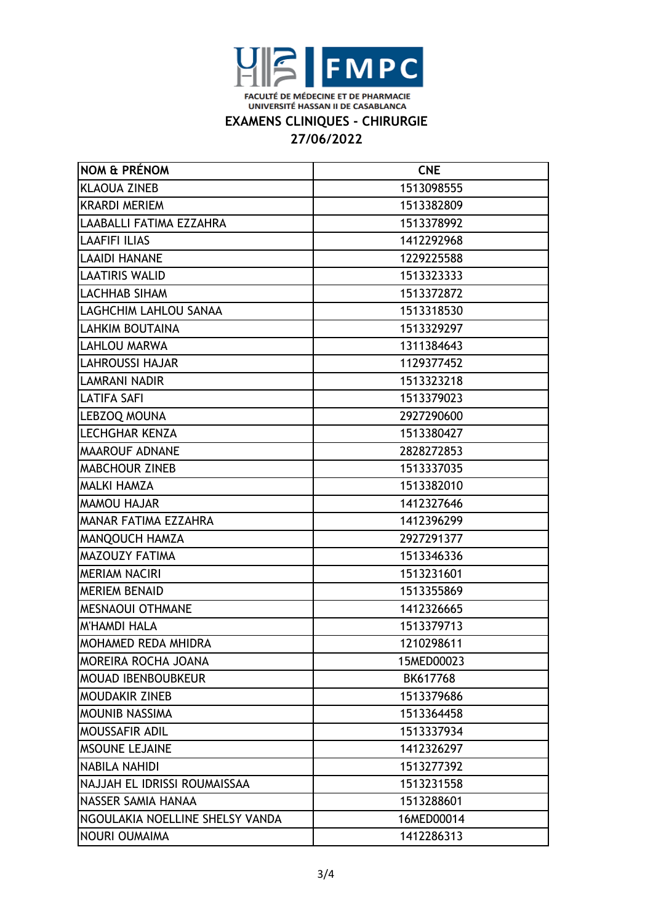

### **EXAMENS CLINIQUES - CHIRURGIE**

| NOM & PRÉNOM                    | <b>CNE</b> |
|---------------------------------|------------|
| <b>KLAOUA ZINEB</b>             | 1513098555 |
| <b>KRARDI MERIEM</b>            | 1513382809 |
| LAABALLI FATIMA EZZAHRA         | 1513378992 |
| <b>LAAFIFI ILIAS</b>            | 1412292968 |
| <b>LAAIDI HANANE</b>            | 1229225588 |
| <b>LAATIRIS WALID</b>           | 1513323333 |
| <b>LACHHAB SIHAM</b>            | 1513372872 |
| LAGHCHIM LAHLOU SANAA           | 1513318530 |
| <b>LAHKIM BOUTAINA</b>          | 1513329297 |
| <b>LAHLOU MARWA</b>             | 1311384643 |
| <b>LAHROUSSI HAJAR</b>          | 1129377452 |
| <b>LAMRANI NADIR</b>            | 1513323218 |
| <b>LATIFA SAFI</b>              | 1513379023 |
| LEBZOQ MOUNA                    | 2927290600 |
| <b>LECHGHAR KENZA</b>           | 1513380427 |
| <b>MAAROUF ADNANE</b>           | 2828272853 |
| <b>MABCHOUR ZINEB</b>           | 1513337035 |
| <b>MALKI HAMZA</b>              | 1513382010 |
| <b>MAMOU HAJAR</b>              | 1412327646 |
| MANAR FATIMA EZZAHRA            | 1412396299 |
| MANQOUCH HAMZA                  | 2927291377 |
| MAZOUZY FATIMA                  | 1513346336 |
| <b>MERIAM NACIRI</b>            | 1513231601 |
| <b>MERIEM BENAID</b>            | 1513355869 |
| <b>MESNAOUI OTHMANE</b>         | 1412326665 |
| M'HAMDI HALA                    | 1513379713 |
| <b>MOHAMED REDA MHIDRA</b>      | 1210298611 |
| MOREIRA ROCHA JOANA             | 15MED00023 |
| <b>MOUAD IBENBOUBKEUR</b>       | BK617768   |
| <b>MOUDAKIR ZINEB</b>           | 1513379686 |
| <b>MOUNIB NASSIMA</b>           | 1513364458 |
| MOUSSAFIR ADIL                  | 1513337934 |
| <b>MSOUNE LEJAINE</b>           | 1412326297 |
| <b>NABILA NAHIDI</b>            | 1513277392 |
| NAJJAH EL IDRISSI ROUMAISSAA    | 1513231558 |
| NASSER SAMIA HANAA              | 1513288601 |
| NGOULAKIA NOELLINE SHELSY VANDA | 16MED00014 |
| <b>NOURI OUMAIMA</b>            | 1412286313 |